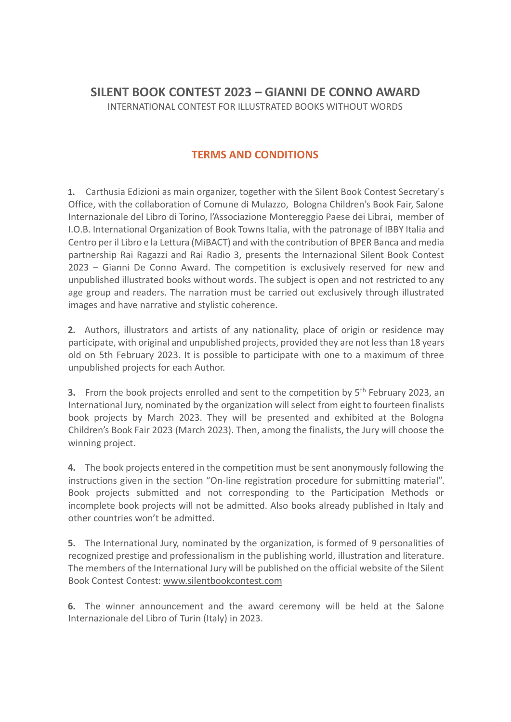# **SILENT BOOK CONTEST 2023 – GIANNI DE CONNO AWARD** INTERNATIONAL CONTEST FOR ILLUSTRATED BOOKS WITHOUT WORDS

## **TERMS AND CONDITIONS**

**1.** Carthusia Edizioni as main organizer, together with the Silent Book Contest Secretary's Office, with the collaboration of Comune di Mulazzo, Bologna Children's Book Fair, Salone Internazionale del Libro di Torino, l'Associazione Montereggio Paese dei Librai, member of I.O.B. International Organization of Book Towns Italia, with the patronage of IBBY Italia and Centro per il Libro e la Lettura (MiBACT) and with the contribution of BPER Banca and media partnership Rai Ragazzi and Rai Radio 3, presents the Internazional Silent Book Contest 2023 – Gianni De Conno Award. The competition is exclusively reserved for new and unpublished illustrated books without words. The subject is open and not restricted to any age group and readers. The narration must be carried out exclusively through illustrated images and have narrative and stylistic coherence.

**2.** Authors, illustrators and artists of any nationality, place of origin or residence may participate, with original and unpublished projects, provided they are not less than 18 years old on 5th February 2023. It is possible to participate with one to a maximum of three unpublished projects for each Author.

**3.** From the book projects enrolled and sent to the competition by 5<sup>th</sup> February 2023, an International Jury, nominated by the organization will select from eight to fourteen finalists book projects by March 2023. They will be presented and exhibited at the Bologna Children's Book Fair 2023 (March 2023). Then, among the finalists, the Jury will choose the winning project.

**4.** The book projects entered in the competition must be sent anonymously following the instructions given in the section "On-line registration procedure for submitting material". Book projects submitted and not corresponding to the Participation Methods or incomplete book projects will not be admitted. Also books already published in Italy and other countries won't be admitted.

**5.** The International Jury, nominated by the organization, is formed of 9 personalities of recognized prestige and professionalism in the publishing world, illustration and literature. The members of the International Jury will be published on the official website of the Silent Book Contest Contest: www.silentbookcontest.com

**6.** The winner announcement and the award ceremony will be held at the Salone Internazionale del Libro of Turin (Italy) in 2023.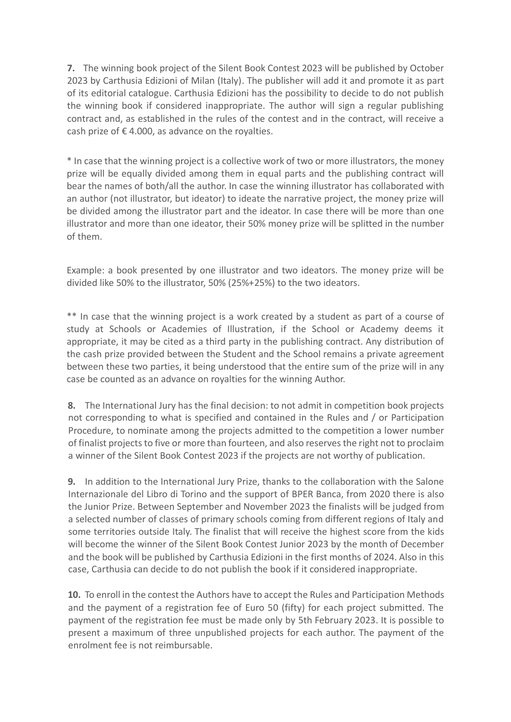**7.** The winning book project of the Silent Book Contest 2023 will be published by October 2023 by Carthusia Edizioni of Milan (Italy). The publisher will add it and promote it as part of its editorial catalogue. Carthusia Edizioni has the possibility to decide to do not publish the winning book if considered inappropriate. The author will sign a regular publishing contract and, as established in the rules of the contest and in the contract, will receive a cash prize of  $\epsilon$  4.000, as advance on the royalties.

\* In case that the winning project is a collective work of two or more illustrators, the money prize will be equally divided among them in equal parts and the publishing contract will bear the names of both/all the author. In case the winning illustrator has collaborated with an author (not illustrator, but ideator) to ideate the narrative project, the money prize will be divided among the illustrator part and the ideator. In case there will be more than one illustrator and more than one ideator, their 50% money prize will be splitted in the number of them.

Example: a book presented by one illustrator and two ideators. The money prize will be divided like 50% to the illustrator, 50% (25%+25%) to the two ideators.

\*\* In case that the winning project is a work created by a student as part of a course of study at Schools or Academies of Illustration, if the School or Academy deems it appropriate, it may be cited as a third party in the publishing contract. Any distribution of the cash prize provided between the Student and the School remains a private agreement between these two parties, it being understood that the entire sum of the prize will in any case be counted as an advance on royalties for the winning Author.

**8.** The International Jury has the final decision: to not admit in competition book projects not corresponding to what is specified and contained in the Rules and / or Participation Procedure, to nominate among the projects admitted to the competition a lower number of finalist projects to five or more than fourteen, and also reserves the right not to proclaim a winner of the Silent Book Contest 2023 if the projects are not worthy of publication.

**9.** In addition to the International Jury Prize, thanks to the collaboration with the Salone Internazionale del Libro di Torino and the support of BPER Banca, from 2020 there is also the Junior Prize. Between September and November 2023 the finalists will be judged from a selected number of classes of primary schools coming from different regions of Italy and some territories outside Italy. The finalist that will receive the highest score from the kids will become the winner of the Silent Book Contest Junior 2023 by the month of December and the book will be published by Carthusia Edizioni in the first months of 2024. Also in this case, Carthusia can decide to do not publish the book if it considered inappropriate.

**10.** To enroll in the contest the Authors have to accept the Rules and Participation Methods and the payment of a registration fee of Euro 50 (fifty) for each project submitted. The payment of the registration fee must be made only by 5th February 2023. It is possible to present a maximum of three unpublished projects for each author. The payment of the enrolment fee is not reimbursable.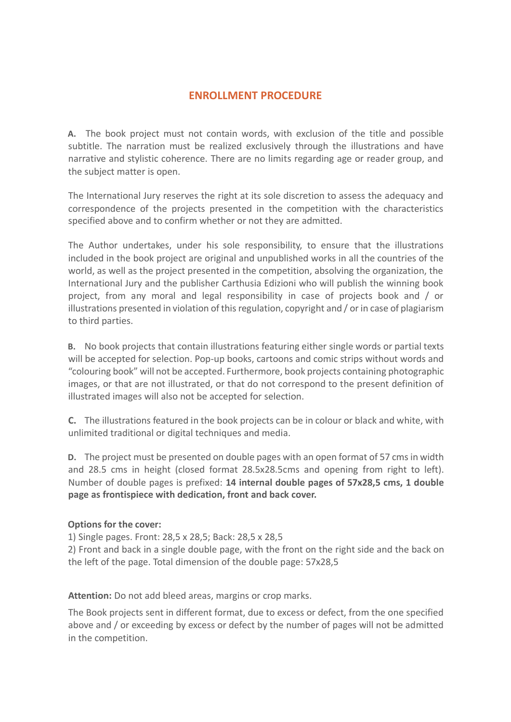## **ENROLLMENT PROCEDURE**

**A.** The book project must not contain words, with exclusion of the title and possible subtitle. The narration must be realized exclusively through the illustrations and have narrative and stylistic coherence. There are no limits regarding age or reader group, and the subject matter is open.

The International Jury reserves the right at its sole discretion to assess the adequacy and correspondence of the projects presented in the competition with the characteristics specified above and to confirm whether or not they are admitted.

The Author undertakes, under his sole responsibility, to ensure that the illustrations included in the book project are original and unpublished works in all the countries of the world, as well as the project presented in the competition, absolving the organization, the International Jury and the publisher Carthusia Edizioni who will publish the winning book project, from any moral and legal responsibility in case of projects book and / or illustrations presented in violation of this regulation, copyright and / or in case of plagiarism to third parties.

**B.** No book projects that contain illustrations featuring either single words or partial texts will be accepted for selection. Pop-up books, cartoons and comic strips without words and "colouring book" will not be accepted. Furthermore, book projects containing photographic images, or that are not illustrated, or that do not correspond to the present definition of illustrated images will also not be accepted for selection.

**C.** The illustrations featured in the book projects can be in colour or black and white, with unlimited traditional or digital techniques and media.

**D.** The project must be presented on double pages with an open format of 57 cms in width and 28.5 cms in height (closed format 28.5x28.5cms and opening from right to left). Number of double pages is prefixed: **14 internal double pages of 57x28,5 cms, 1 double page as frontispiece with dedication, front and back cover.** 

#### **Options for the cover:**

1) Single pages. Front: 28,5 x 28,5; Back: 28,5 x 28,5

2) Front and back in a single double page, with the front on the right side and the back on the left of the page. Total dimension of the double page: 57x28,5

**Attention:** Do not add bleed areas, margins or crop marks.

The Book projects sent in different format, due to excess or defect, from the one specified above and / or exceeding by excess or defect by the number of pages will not be admitted in the competition.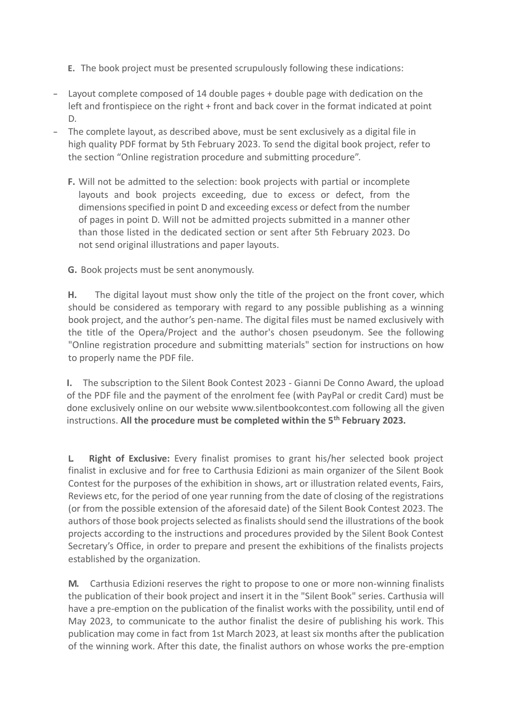**E.** The book project must be presented scrupulously following these indications:

- Layout complete composed of 14 double pages + double page with dedication on the left and frontispiece on the right + front and back cover in the format indicated at point D.
- The complete layout, as described above, must be sent exclusively as a digital file in high quality PDF format by 5th February 2023. To send the digital book project, refer to the section "Online registration procedure and submitting procedure".
	- **F.** Will not be admitted to the selection: book projects with partial or incomplete layouts and book projects exceeding, due to excess or defect, from the dimensions specified in point D and exceeding excess or defect from the number of pages in point D. Will not be admitted projects submitted in a manner other than those listed in the dedicated section or sent after 5th February 2023. Do not send original illustrations and paper layouts.
	- **G.** Book projects must be sent anonymously.

**H.** The digital layout must show only the title of the project on the front cover, which should be considered as temporary with regard to any possible publishing as a winning book project, and the author's pen-name. The digital files must be named exclusively with the title of the Opera/Project and the author's chosen pseudonym. See the following "Online registration procedure and submitting materials" section for instructions on how to properly name the PDF file.

**I.** The subscription to the Silent Book Contest 2023 - Gianni De Conno Award, the upload of the PDF file and the payment of the enrolment fee (with PayPal or credit Card) must be done exclusively online on our website [www.silentbookcontest.com](http://www.silentbookcontest.com/) following all the given instructions. **All the procedure must be completed within the 5th February 2023.**

**L. Right of Exclusive:** Every finalist promises to grant his/her selected book project finalist in exclusive and for free to Carthusia Edizioni as main organizer of the Silent Book Contest for the purposes of the exhibition in shows, art or illustration related events, Fairs, Reviews etc, for the period of one year running from the date of closing of the registrations (or from the possible extension of the aforesaid date) of the Silent Book Contest 2023. The authors of those book projects selected as finalists should send the illustrations of the book projects according to the instructions and procedures provided by the Silent Book Contest Secretary's Office, in order to prepare and present the exhibitions of the finalists projects established by the organization.

**M.** Carthusia Edizioni reserves the right to propose to one or more non-winning finalists the publication of their book project and insert it in the "Silent Book" series. Carthusia will have a pre-emption on the publication of the finalist works with the possibility, until end of May 2023, to communicate to the author finalist the desire of publishing his work. This publication may come in fact from 1st March 2023, at least six months after the publication of the winning work. After this date, the finalist authors on whose works the pre-emption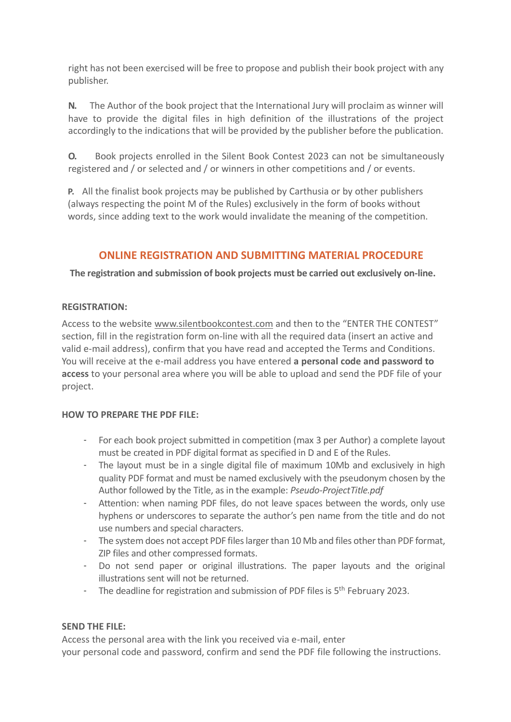right has not been exercised will be free to propose and publish their book project with any publisher.

**N.** The Author of the book project that the International Jury will proclaim as winner will have to provide the digital files in high definition of the illustrations of the project accordingly to the indications that will be provided by the publisher before the publication.

**O.** Book projects enrolled in the Silent Book Contest 2023 can not be simultaneously registered and / or selected and / or winners in other competitions and / or events.

**P.** All the finalist book projects may be published by Carthusia or by other publishers (always respecting the point M of the Rules) exclusively in the form of books without words, since adding text to the work would invalidate the meaning of the competition.

# **ONLINE REGISTRATION AND SUBMITTING MATERIAL PROCEDURE**

**The registration and submission of book projects must be carried out exclusively on-line.**

#### **REGISTRATION:**

Access to the website www.silentbookcontest.com and then to the "ENTER THE CONTEST" section, fill in the registration form on-line with all the required data (insert an active and valid e-mail address), confirm that you have read and accepted the Terms and Conditions. You will receive at the e-mail address you have entered **a personal code and password to access** to your personal area where you will be able to upload and send the PDF file of your project.

## **HOW TO PREPARE THE PDF FILE:**

- For each book project submitted in competition (max 3 per Author) a complete layout must be created in PDF digital format as specified in D and E of the Rules.
- The layout must be in a single digital file of maximum 10Mb and exclusively in high quality PDF format and must be named exclusively with the pseudonym chosen by the Author followed by the Title, as in the example: *Pseudo-ProjectTitle.pdf*
- Attention: when naming PDF files, do not leave spaces between the words, only use hyphens or underscores to separate the author's pen name from the title and do not use numbers and special characters.
- The system does not accept PDF files larger than 10 Mb and files other than PDF format, ZIP files and other compressed formats.
- Do not send paper or original illustrations. The paper layouts and the original illustrations sent will not be returned.
- The deadline for registration and submission of PDF files is 5<sup>th</sup> February 2023.

## **SEND THE FILE:**

Access the personal area with the link you received via e-mail, enter your personal code and password, confirm and send the PDF file following the instructions.